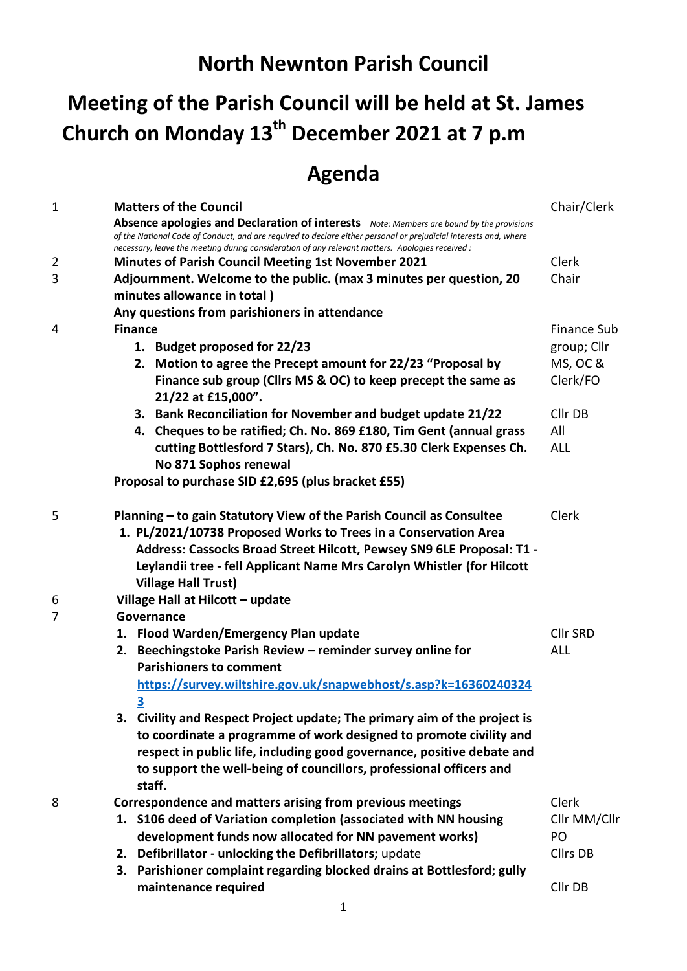## **Meeting of the Parish Council will be held at St. James Church on Monday 13th December 2021 at 7 p.m**

## **Agenda**

| 1              |                                                                      | <b>Matters of the Council</b>                                                                                                                                                                                       | Chair/Clerk     |  |  |  |
|----------------|----------------------------------------------------------------------|---------------------------------------------------------------------------------------------------------------------------------------------------------------------------------------------------------------------|-----------------|--|--|--|
|                |                                                                      | Absence apologies and Declaration of interests Note: Members are bound by the provisions                                                                                                                            |                 |  |  |  |
|                |                                                                      | of the National Code of Conduct, and are required to declare either personal or prejudicial interests and, where<br>necessary, leave the meeting during consideration of any relevant matters. Apologies received : |                 |  |  |  |
| $\overline{2}$ |                                                                      | <b>Minutes of Parish Council Meeting 1st November 2021</b>                                                                                                                                                          | Clerk           |  |  |  |
| 3              |                                                                      | Adjournment. Welcome to the public. (max 3 minutes per question, 20                                                                                                                                                 | Chair           |  |  |  |
|                |                                                                      | minutes allowance in total)                                                                                                                                                                                         |                 |  |  |  |
|                | Any questions from parishioners in attendance                        |                                                                                                                                                                                                                     |                 |  |  |  |
| 4              | <b>Finance</b>                                                       |                                                                                                                                                                                                                     |                 |  |  |  |
|                |                                                                      | 1. Budget proposed for 22/23                                                                                                                                                                                        | group; Cllr     |  |  |  |
|                |                                                                      | 2. Motion to agree the Precept amount for 22/23 "Proposal by                                                                                                                                                        | MS, OC &        |  |  |  |
|                |                                                                      | Finance sub group (Cllrs MS & OC) to keep precept the same as<br>21/22 at £15,000".                                                                                                                                 | Clerk/FO        |  |  |  |
|                |                                                                      | 3. Bank Reconciliation for November and budget update 21/22                                                                                                                                                         | Cllr DB         |  |  |  |
|                |                                                                      | 4. Cheques to be ratified; Ch. No. 869 £180, Tim Gent (annual grass                                                                                                                                                 | All             |  |  |  |
|                |                                                                      | cutting Bottlesford 7 Stars), Ch. No. 870 £5.30 Clerk Expenses Ch.                                                                                                                                                  | <b>ALL</b>      |  |  |  |
|                |                                                                      | No 871 Sophos renewal                                                                                                                                                                                               |                 |  |  |  |
|                | Proposal to purchase SID £2,695 (plus bracket £55)                   |                                                                                                                                                                                                                     |                 |  |  |  |
|                |                                                                      |                                                                                                                                                                                                                     |                 |  |  |  |
| 5              | Planning – to gain Statutory View of the Parish Council as Consultee | Clerk                                                                                                                                                                                                               |                 |  |  |  |
|                |                                                                      |                                                                                                                                                                                                                     |                 |  |  |  |
|                |                                                                      | 1. PL/2021/10738 Proposed Works to Trees in a Conservation Area<br>Address: Cassocks Broad Street Hilcott, Pewsey SN9 6LE Proposal: T1 -                                                                            |                 |  |  |  |
|                |                                                                      | Leylandii tree - fell Applicant Name Mrs Carolyn Whistler (for Hilcott                                                                                                                                              |                 |  |  |  |
|                |                                                                      | <b>Village Hall Trust)</b>                                                                                                                                                                                          |                 |  |  |  |
| 6              | Village Hall at Hilcott - update                                     |                                                                                                                                                                                                                     |                 |  |  |  |
| 7              |                                                                      | Governance                                                                                                                                                                                                          |                 |  |  |  |
|                |                                                                      | 1. Flood Warden/Emergency Plan update                                                                                                                                                                               | <b>Cllr SRD</b> |  |  |  |
|                | 2.                                                                   | Beechingstoke Parish Review - reminder survey online for                                                                                                                                                            | <b>ALL</b>      |  |  |  |
|                |                                                                      | <b>Parishioners to comment</b>                                                                                                                                                                                      |                 |  |  |  |
|                |                                                                      | https://survey.wiltshire.gov.uk/snapwebhost/s.asp?k=16360240324                                                                                                                                                     |                 |  |  |  |
|                | $\overline{\mathbf{3}}$                                              |                                                                                                                                                                                                                     |                 |  |  |  |
|                |                                                                      | 3. Civility and Respect Project update; The primary aim of the project is                                                                                                                                           |                 |  |  |  |
|                |                                                                      | to coordinate a programme of work designed to promote civility and                                                                                                                                                  |                 |  |  |  |
|                |                                                                      | respect in public life, including good governance, positive debate and                                                                                                                                              |                 |  |  |  |
|                |                                                                      | to support the well-being of councillors, professional officers and                                                                                                                                                 |                 |  |  |  |
|                |                                                                      | staff.                                                                                                                                                                                                              |                 |  |  |  |
|                |                                                                      |                                                                                                                                                                                                                     | Clerk           |  |  |  |
| 8              |                                                                      | Correspondence and matters arising from previous meetings                                                                                                                                                           |                 |  |  |  |
|                |                                                                      | 1. S106 deed of Variation completion (associated with NN housing                                                                                                                                                    | Cllr MM/Cllr    |  |  |  |
|                |                                                                      | development funds now allocated for NN pavement works)                                                                                                                                                              | PO              |  |  |  |
|                |                                                                      | 2. Defibrillator - unlocking the Defibrillators; update                                                                                                                                                             | Cllrs DB        |  |  |  |
|                |                                                                      | 3. Parishioner complaint regarding blocked drains at Bottlesford; gully                                                                                                                                             |                 |  |  |  |
|                |                                                                      | maintenance required                                                                                                                                                                                                | Cllr DB         |  |  |  |